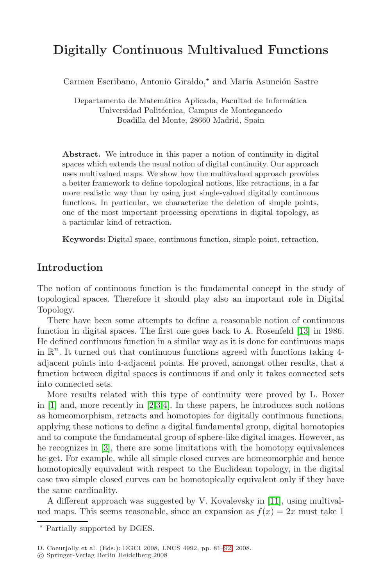# **Digitally Continuous Multivalued Functions**

Carmen Escribano, Antonio Giraldo,<sup>\*</sup> and María Asunción Sastre

Departamento de Matemática Aplicada, Facultad de Informática Universidad Politécnica, Campus de Montegancedo Boadilla del Monte, 28660 Madrid, Spain

**Abstract.** We introduce in this paper a notion of continuity in digital spaces which extends the usual notion of digital continuity. Our approach uses multivalued maps. We show how the multivalued approach provides a better framework to define topological notions, like retractions, in a far more realistic way than by using just single-valued digitally continuous functions. In particular, we characterize the deletion of simple points, one of the most important processing operations in digital topology, as a particular kind of retraction.

**Keywords:** Digital space, continuous function, simple point, retraction.

# **Introduction**

The notion of continuous function is the fundamental concept in the study of topological spaces. Therefore it should play also an important role in Digital Topology.

There [ha](#page-11-0)[ve](#page-11-1) [b](#page-11-2)een some attempts to define a reasonable notion of continuous function in digital spaces. The first one goes back to A. Rosenfeld [13] in 1986. He defined continuous function in a similar way as it is done for continuous maps in  $\mathbb{R}^n$ . It turned out that continuous functions agreed with functions taking 4adjacent points into 4-adjacent points. He proved, amongst other results, that a function between digital spaces is continuous if and only it takes connected sets into connected sets.

More results related with this type of continuity were proved by L. Boxer in [1] and, more recently in [2,3,4]. In these papers, he introduces such notions as homeomorphism, retracts and homot[opie](#page-11-3)s for digitally continuous functions, applying these notions to define a digital fundamental group, digital homotopies and to compute the fundamental group of sphere-like digital images. However, as he recognizes in [3], there are some limitations with the homotopy equivalences he get. For example, while all simple closed curves are homeomorphic and hence homotopically equivalent wit[h](#page-11-4) [r](#page-11-4)espect to the Euclidean topology, in the digital case two simple closed curves can be homotopically equivalent only if they have the same cardinality.

A different approach was suggested by V. Kovalevsky in [11], using multivalued maps. This seems reasonable, since an expansion as  $f(x)=2x$  must take 1

-c Springer-Verlag Berlin Heidelberg 2008

<sup>-</sup> Partially supported by DGES.

D. Coeurjolly et al. (Eds.): DGCI 2008, LNCS 4992, pp. 81–92, 2008.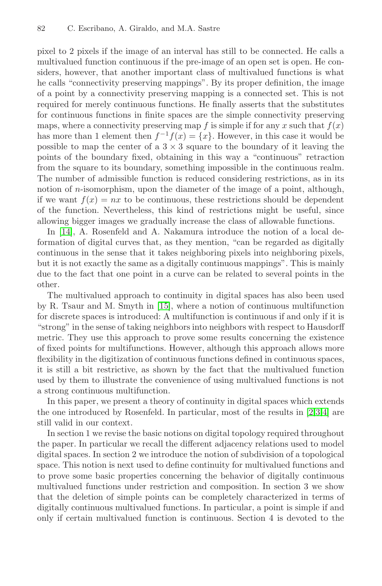#### 82 C. Escribano, A. Giraldo, and M.A. Sastre

pixel to 2 pixels if the image of an interval has still to be connected. He calls a multivalued function continuous if the pre-image of an open set is open. He considers, however, that another important class of multivalued functions is what he calls "connectivity preserving mappings". By its proper definition, the image of a point by a connectivity preserving mapping is a connected set. This is not required for merely continuous functions. He finally asserts that the substitutes for continuous functions in finite spaces are the simple connectivity preserving maps, where a connectivity preserving map f is simple if for any x such that  $f(x)$ has more than 1 element then  $f^{-1}f(x) = \{x\}$ . However, in this case it would be possible to map the center of a  $3 \times 3$  square to the boundary of it leaving the points of the boundary fixed, obtaining in this way a "continuous" retraction from the square to its boundary, something impossible in the continuous realm. The number of admissible function is reduced considering restrictions, as in its notion of n-isomorphism, upon the diameter of the image of a point, although, if we want  $f(x) = nx$  to be continuous, these restrictions should be dependent of the function. Nevertheless, this kind of restrictions might be useful, since allowing big[ger](#page-11-5) images we gradually increase the class of allowable functions.

In [14], A. Rosenfeld and A. Nakamura introduce the notion of a local deformation of digital curves that, as they mention, "can be regarded as digitally continuous in the sense that it takes neighboring pixels into neighboring pixels, but it is not exactly the same as a digitally continuous mappings". This is mainly due to the fact that one point in a curve can be related to several points in the other.

The multivalued approach to continuity in digital spaces has also been used by R. Tsaur and M. Smyth in [15], where a notion of continuous multifunction for discrete spaces is introduced: A multifunction is continuous if and only if it is "strong" in the sense of taking neighbors into neighb[or](#page-11-0)[s](#page-11-1) [w](#page-11-2)ith respect to Hausdorff metric. They use this approach to prove some results concerning the existence of fixed points for multifunctions. However, although this approach allows more flexibility in the digitization of continuous functions defined in continuous spaces, it is still a bit restrictive, as shown by the fact that the multivalued function used by them to illustrate the convenience of using multivalued functions is not a strong continuous multifunction.

In this paper, we present a theory of continuity in digital spaces which extends the one introduced by Rosenfeld. In particular, most of the results in [2,3,4] are still valid in our context.

In section 1 we revise the basic notions on digital topology required throughout the paper. In particular we recall the different adjacency relations used to model digital spaces. In section 2 we introduce the notion of subdivision of a topological space. This notion is next used to define continuity for multivalued functions and to prove some basic properties concerning the behavior of digitally continuous multivalued functions under restriction and composition. In section 3 we show that the deletion of simple points can be completely characterized in terms of digitally continuous multivalued functions. In particular, a point is simple if and only if certain multivalued function is continuous. Section 4 is devoted to the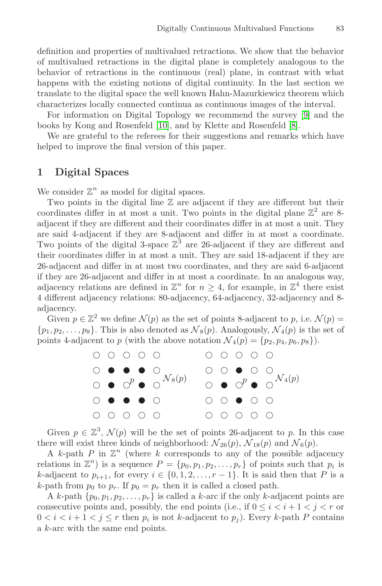definition a[nd](#page-11-7) [p](#page-11-7)roperties of multivalued retrac[tio](#page-11-8)ns. We show that the behavior of multivalued retractions in the digital plane is completely analogous to the behavior of retractions in the continuous (real) plane, in contrast with what happens with the existing notions of digital continuity. In the last section we translate to the digital space the well known Hahn-Mazurkiewicz theorem which characterizes locally connected continua as continuous images of the interval.

For information on Digital Topology we recommend the survey [9] and the books by Kong and Rosenfeld [10], and by Klette and Rosenfeld [8].

We are grateful to the referees for their suggestions and remarks which have helped to improve the final version of this paper.

### **1 Digital Spaces**

We consider  $\mathbb{Z}^n$  as model for digital spaces.

Two points in the digital line  $\mathbb Z$  are adjacent if they are different but their coordinates differ in at most a unit. Two points in the digital plane  $\mathbb{Z}^2$  are 8adjacent if they are different and their coordinates differ in at most a unit. They are said 4-adjacent if they are 8-adjacent and differ in at most a coordinate. Two points of the digital 3-space  $\mathbb{Z}^3$  are 26-adjacent if they are different and their coordinates differ in at most a unit. They are said 18-adjacent if they are 26-adjacent and differ in at most two coordinates, and they are said 6-adjacent if they are 26-adjacent and differ in at most a coordinate. In an analogous way, adjacency relations are defined in  $\mathbb{Z}^n$  for  $n \geq 4$ , for example, in  $\mathbb{Z}^4$  there exist 4 different adjacency relations: 80-adjacency, 64-adjacency, 32-adjacency and 8 adjacency.

Given  $p \in \mathbb{Z}^2$  we define  $\mathcal{N}(p)$  as the set of points 8-adjacent to p, i.e.  $\mathcal{N}(p)$  =  $\{p_1, p_2, \ldots, p_8\}$ . This is also denoted as  $\mathcal{N}_8(p)$ . Analogously,  $\mathcal{N}_4(p)$  is the set of points 4-adjacent to p (with the above notation  $\mathcal{N}_4(p) = \{p_2, p_4, p_6, p_8\}$ ).

|  |                                                                  |                                                                                                                                           |  | $\begin{array}{ccc} \circ & \circ & \circ & \circ & \circ \end{array}$   |  |
|--|------------------------------------------------------------------|-------------------------------------------------------------------------------------------------------------------------------------------|--|--------------------------------------------------------------------------|--|
|  |                                                                  |                                                                                                                                           |  |                                                                          |  |
|  |                                                                  | $\begin{array}{ccc}\n\bigcirc & \bullet & \bullet & \bullet & \circ \\ \circ & \bullet & \circ^p & \bullet & \circ^{N_8(p)}\n\end{array}$ |  |                                                                          |  |
|  | $\circ$ $\bullet$ $\bullet$ $\circ$                              |                                                                                                                                           |  | $\begin{array}{ccc} \circ & \circ & \bullet & \circ & \circ \end{array}$ |  |
|  | $\begin{array}{ccc} & \circ & \circ & \circ & \circ \end{array}$ |                                                                                                                                           |  | 00000                                                                    |  |

Given  $p \in \mathbb{Z}^3$ ,  $\mathcal{N}(p)$  will be the set of points 26-adjacent to p. In this case there will exist three kinds of neighborhood:  $\mathcal{N}_{26}(p)$ ,  $\mathcal{N}_{18}(p)$  and  $\mathcal{N}_{6}(p)$ .

A k-path P in  $\mathbb{Z}^n$  (where k corresponds to any of the possible adjacency relations in  $\mathbb{Z}^n$ ) is a sequence  $P = \{p_0, p_1, p_2, \ldots, p_r\}$  of points such that  $p_i$  is k-adjacent to  $p_{i+1}$ , for every  $i \in \{0, 1, 2, \ldots, r-1\}$ . It is said then that P is a k-path from  $p_0$  to  $p_r$ . If  $p_0 = p_r$  then it is called a closed path.

A k-path  $\{p_0, p_1, p_2, \ldots, p_r\}$  is called a k-arc if the only k-adjacent points are consecutive points and, possibly, the end points (i.e., if  $0 \le i \le i + 1 \le j \le r$  or  $0 < i < i + 1 < j < r$  then  $p_i$  is not k-adjacent to  $p_j$ ). Every k-path P contains a k-arc with the same end points.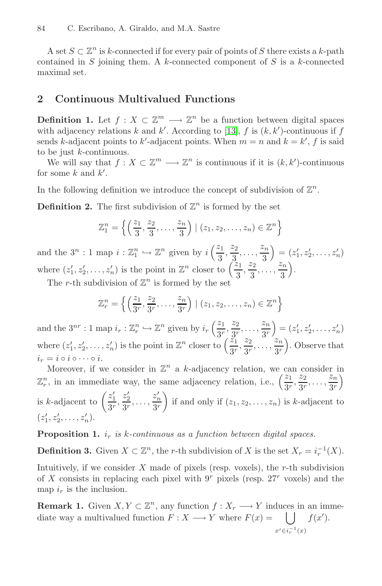A set  $S \subset \mathbb{Z}^n$  is k-connecte[d if f](#page-11-9)or every pair of points of S there exists a k-path contained in  $S$  joining them. A k-connected component of  $S$  is a k-connected maximal set.

# **2 Continuous Multivalued Functions**

**Definition 1.** Let  $f: X \subset \mathbb{Z}^m \longrightarrow \mathbb{Z}^n$  be a function between digital spaces with adjacency relations k and k'. According to [13], f is  $(k, k')$ -continuous if f sends k-adjacent points to k'-adjacent points. When  $m = n$  and  $k = k'$ , f is said to be just  $k$ -continuous.

We will say that  $f: X \subset \mathbb{Z}^m \longrightarrow \mathbb{Z}^n$  is continuous if it is  $(k, k')$ -continuous for some  $k$  and  $k'$ .

In the following definition we introduce the concept of subdivision of  $\mathbb{Z}^n$ .

**Definition 2.** The first subdivision of  $\mathbb{Z}^n$  is formed by the set

$$
\mathbb{Z}_1^n = \left\{ \left( \frac{z_1}{3}, \frac{z_2}{3}, \dots, \frac{z_n}{3} \right) \mid (z_1, z_2, \dots, z_n) \in \mathbb{Z}^n \right\}
$$

and the  $3^n : 1$  map  $i : \mathbb{Z}_1^n \hookrightarrow \mathbb{Z}^n$  given by  $i\left(\frac{z_1}{3}, \frac{z_2}{3}, \dots, \frac{z_n}{3}\right)$  $= (z'_1, z'_2, \ldots, z'_n)$ where  $(z'_1, z'_2, \ldots, z'_n)$  is the point in  $\mathbb{Z}^n$  closer to  $\left(\frac{z_1}{3}, \frac{z_2}{3}, \ldots, \frac{z_n}{3}\right)$ .

The r-th subdivision of  $\mathbb{Z}^n$  is formed by the set

$$
\mathbb{Z}_r^n = \left\{ \left( \frac{z_1}{3^r}, \frac{z_2}{3^r}, \dots, \frac{z_n}{3^r} \right) \mid (z_1, z_2, \dots, z_n) \in \mathbb{Z}^n \right\}
$$

and the  $3^{nr}: 1$  map  $i_r: \mathbb{Z}_r^n \hookrightarrow \mathbb{Z}^n$  given by  $i_r\left(\frac{z_1}{3^r}, \frac{z_2}{3^r}, \ldots, \frac{z_n}{3^r}\right)$  $= (z'_1, z'_2, \ldots, z'_n)$ where  $(z'_1, z'_2, \ldots, z'_n)$  is the point in  $\mathbb{Z}^n$  closer to  $\left(\frac{z_1}{3^r}, \frac{z_2}{3^r}, \ldots, \frac{z_n}{3^r}\right)$  . Observe that  $i_r = i \circ i \circ \cdots \circ i$ .

Moreover, if we consider in  $\mathbb{Z}^n$  a k-adjacency relation, we can consider in  $\mathbb{Z}_r^n$ , in an immediate way, the same adjacency relation, i.e.,  $\left(\frac{z_1}{3^r}, \frac{z_2}{3^r}, \ldots, \frac{z_n}{3^r}\right)$  $\setminus$ is *k*-adjacent to  $\left(\frac{z'_1}{3^r}, \frac{z'_2}{3^r}, \ldots, \frac{z'_n}{3^r}\right)$  $3r$ if and only if  $(z_1, z_2, \ldots, z_n)$  is k-adjacent to  $(z'_1, z'_2, \ldots, z'_n).$ 

**Proposition 1.**  $i_r$  is  $k$ -continuous as a function between digital spaces.

**Definition 3.** Given  $X \subset \mathbb{Z}^n$ , the r-th subdivision of X is the set  $X_r = i_r^{-1}(X)$ .

Intuitively, if we consider  $X$  made of pixels (resp. voxels), the r-th subdivision of X consists in replacing each pixel with  $9<sup>r</sup>$  pixels (resp.  $27<sup>r</sup>$  voxels) and the map  $i_r$  is the inclusion.

**Remark 1.** Given  $X, Y \subset \mathbb{Z}^n$ , any function  $f : X_r \longrightarrow Y$  induces in an immediate way a multivalued function  $F: X \longrightarrow Y$  where  $F(x) = \begin{pmatrix} 1 \\ 1 \end{pmatrix}$  $x' \in i_r^{-1}(x)$  $f(x')$ .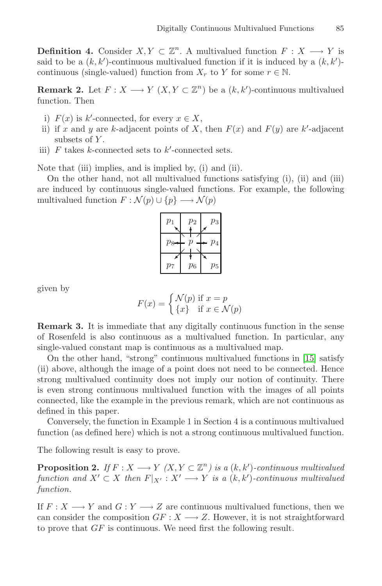**Definition 4.** Consider  $X, Y \subset \mathbb{Z}^n$ . A multivalued function  $F : X \longrightarrow Y$  is said to be a  $(k, k')$ -continuous multivalued function if it is induced by a  $(k, k')$ continuous (single-valued) function from  $X_r$  to Y for some  $r \in \mathbb{N}$ .

**Remark 2.** Let  $F: X \longrightarrow Y$   $(X, Y \subset \mathbb{Z}^n)$  be a  $(k, k')$ -continuous multivalued function. Then

- i)  $F(x)$  is k'-connected, for every  $x \in X$ ,
- ii) if x and y are k-adjacent points of X, then  $F(x)$  and  $F(y)$  are k'-adjacent subsets of Y.
- iii)  $F$  takes  $k$ -connected sets to  $k'$ -connected sets.

Note that (iii) implies, and is implied by, (i) and (ii).

On the other hand, not all multivalued functions satisfying (i), (ii) and (iii) are induced by continuous single-valued functions. For example, the following multivalued function  $F : \mathcal{N}(p) \cup \{p\} \longrightarrow \mathcal{N}(p)$ 

| $p_1$   | $\scriptstyle p_2$ | $p_3$            |
|---------|--------------------|------------------|
| $p_{8}$ |                    | $\mathfrak{p}_4$ |
|         |                    |                  |
|         | $\,p_6$            | $p_5$            |

given by

$$
F(x) = \begin{cases} \mathcal{N}(p) & \text{if } x = p \\ \{x\} & \text{if } x \in \mathcal{N}(p) \end{cases}
$$

**Remark 3.** It is immediate that any digitally continuous function in the sense of Rosenfeld is also continuous as a multivalued function. In particular, any single-valued constant map is continuous as a multivalued map.

On the other hand, "strong" continuous multivalued functions in [15] satisfy (ii) above, although the image of a point does not need to be connected. Hence strong multivalued continuity does not imply our notion of continuity. There is even strong continuous multivalued function with the images of all points connected, like the example in the previous remark, which are not continuous as defined in this paper.

Conversely, the function in Example 1 in Section 4 is a continuous multivalued function (as defined here) which is not a strong continuous multivalued function.

The following result is easy to prove.

**Proposition 2.** If  $F: X \longrightarrow Y$   $(X, Y \subset \mathbb{Z}^n)$  is a  $(k, k')$ -continuous multivalued function and  $X' \subset X$  then  $F|_{X'} : X' \longrightarrow Y$  is a  $(k, k')$ -continuous multivalued function.

If  $F: X \longrightarrow Y$  and  $G: Y \longrightarrow Z$  are continuous multivalued functions, then we can consider the composition  $GF : X \longrightarrow Z$ . However, it is not straightforward to prove that GF is continuous. We need first the following result.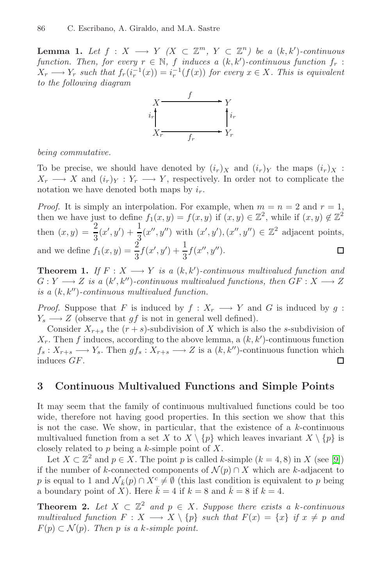#### 86 C. Escribano, A. Giraldo, and M.A. Sastre

**Lemma 1.** Let  $f: X \longrightarrow Y \ (X \subset \mathbb{Z}^m, Y \subset \mathbb{Z}^n)$  be a  $(k, k')$ -continuous function. Then, for every  $r \in \mathbb{N}$ , f induces a  $(k, k')$ -continuous function  $f_r$ :  $X_r \longrightarrow Y_r$  such that  $f_r(i_r^{-1}(x)) = i_r^{-1}(f(x))$  for every  $x \in X$ . This is equivalent to the following diagram



being commutative.

To be precise, we should have denoted by  $(i_r)_X$  and  $(i_r)_Y$  the maps  $(i_r)_X$ :  $X_r \longrightarrow X$  and  $(i_r)_Y : Y_r \longrightarrow Y$ , respectively. In order not to complicate the notation we have denoted both maps by  $i_r$ .

*Proof.* It is simply an interpolation. For example, when  $m = n = 2$  and  $r = 1$ , then we have just to define  $f_1(x, y) = f(x, y)$  if  $(x, y) \in \mathbb{Z}^2$ , while if  $(x, y) \notin \mathbb{Z}^2$ then  $(x, y) = \frac{2}{3}(x', y') + \frac{1}{3}(x'', y'')$  with  $(x', y'), (x'', y'') \in \mathbb{Z}^2$  adjacent points, and we define  $f_1(x, y) = \frac{2}{3} f(x', y') + \frac{1}{3} f(x'', y'').$ 

**Theorem 1.** If  $F: X \longrightarrow Y$  is a  $(k, k')$ -continuous multivalued function and  $G: Y \longrightarrow Z$  is a  $(k', k'')$ -continuous multivalued functions, then  $GF: X \longrightarrow Z$ is a  $(k, k'')$ -continuous multivalued function.

*Proof.* Suppose that F is induced by  $f: X_r \longrightarrow Y$  and G is induced by g:  $Y_s \longrightarrow Z$  (observe that gf is not in general well defined).

Consider  $X_{r+s}$  the  $(r+s)$ -subdivision of X which is also the s-subdivision of  $X_r$ . Then f induces, according to the above lemma, a  $(k, k')$ -continuous function  $f_s: X_{r+s} \longrightarrow Y_s$ . Then  $gf_s: X_{r+s} \longrightarrow Z$  is a  $(k, k'')$ -continuous function which induces GF.  $\Box$ 

### **3 Continuous Multivalued Functions and [S](#page-11-6)imple Points**

It may seem that the family of continuous multivalued functions could be too wide, therefore not having good properties. In this section we show that this is not the case. We show, in particular, that the existence of a  $k$ -continuous multivalued function from a set X to  $X \setminus \{p\}$  which leaves invariant  $X \setminus \{p\}$  is closely related to  $p$  being a  $k$ -simple point of  $X$ .

Let  $X \subset \mathbb{Z}^2$  and  $p \in X$ . The point p is called k-simple  $(k = 4, 8)$  in X (see [9]) if the number of k-connected components of  $\mathcal{N}(p) \cap X$  which are k-adjacent to p is equal to 1 and  $\mathcal{N}_{\bar{k}}(p) \cap X^c \neq \emptyset$  (this last condition is equivalent to p being a boundary point of X). Here  $\bar{k} = 4$  if  $k = 8$  and  $\bar{k} = 8$  if  $k = 4$ .

**Theorem 2.** Let  $X \subset \mathbb{Z}^2$  and  $p \in X$ . Suppose there exists a k-continuous multivalued function  $F: X \longrightarrow X \setminus \{p\}$  such that  $F(x) = \{x\}$  if  $x \neq p$  and  $F(p) \subset \mathcal{N}(p)$ . Then p is a k-simple point.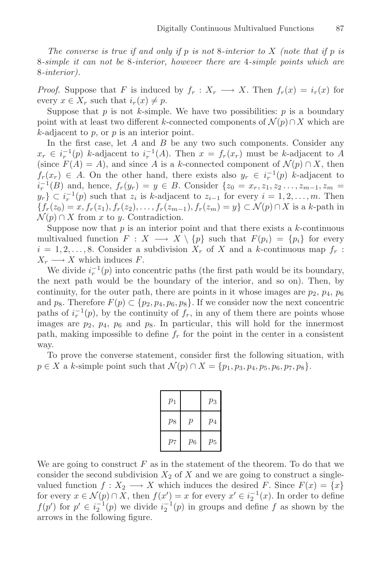The converse is true if and only if p is not 8-interior to  $X$  (note that if p is 8-simple it can not be 8-interior, however there are 4-simple points which are 8-interior).

*Proof.* Suppose that F is induced by  $f_r : X_r \longrightarrow X$ . Then  $f_r(x) = i_r(x)$  for every  $x \in X_r$  such that  $i_r(x) \neq p$ .

Suppose that p is not k-simple. We have two possibilities:  $p$  is a boundary point with at least two different k-connected components of  $\mathcal{N}(p) \cap X$  which are  $k$ -adjacent to  $p$ , or  $p$  is an interior point.

In the first case, let  $A$  and  $B$  be any two such components. Consider any  $x_r \in i_r^{-1}(p)$  k-adjacent to  $i_r^{-1}(A)$ . Then  $x = f_r(x_r)$  must be k-adjacent to A (since  $F(A) = A$ ), and since A is a k-connected component of  $\mathcal{N}(p) \cap X$ , then  $f_r(x_r) \in A$ . On the other hand, there exists also  $y_r \in i_r^{-1}(p)$  k-adjacent to  $i_r^{-1}(B)$  and, hence,  $f_r(y_r) = y \in B$ . Consider  $\{z_0 = x_r, z_1, z_2, \ldots, z_{m-1}, z_m =$  $y_r$ }  $\subset i_r^{-1}(p)$  such that  $z_i$  is k-adjacent to  $z_{i-1}$  for every  $i = 1, 2, ..., m$ . Then  ${f_r(z_0) = x, f_r(z_1), f_r(z_2), \ldots, f_r(z_{m-1}), f_r(z_m) = y} \subset \mathcal{N}(p) \cap X$  is a k-path in  $\mathcal{N}(p) \cap X$  from x to y. Contradiction.

Suppose now that  $p$  is an interior point and that there exists a  $k$ -continuous multivalued function  $F: X \longrightarrow X \setminus \{p\}$  such that  $F(p_i) = \{p_i\}$  for every  $i = 1, 2, \ldots, 8$ . Consider a subdivision  $X_r$  of X and a k-continuous map  $f_r$ :  $X_r \longrightarrow X$  which induces F.

We divide  $i_r^{-1}(p)$  into concentric paths (the first path would be its boundary, the next path would be the boundary of the interior, and so on). Then, by continuity, for the outer path, there are points in it whose images are  $p_2$ ,  $p_4$ ,  $p_6$ and  $p_8$ . Therefore  $F(p) \subset \{p_2, p_4, p_6, p_8\}$ . If we consider now the next concentric paths of  $i_r^{-1}(p)$ , by the continuity of  $f_r$ , in any of them there are points whose images are  $p_2$ ,  $p_4$ ,  $p_6$  and  $p_8$ . In particular, this will hold for the innermost path, making impossible to define  $f_r$  for the point in the center in a consistent way.

To prove the converse statement, consider first the following situation, with  $p \in X$  a k-simple point such that  $\mathcal{N}(p) \cap X = \{p_1, p_3, p_4, p_5, p_6, p_7, p_8\}.$ 

| $p_1$          |               | $p_3$ |
|----------------|---------------|-------|
| $p_8$          | $\mathcal{p}$ | $p_4$ |
| p <sub>7</sub> | $p_6$         | $p_5$ |

We are going to construct  $F$  as in the statement of the theorem. To do that we consider the second subdivision  $X_2$  of X and we are going to construct a singlevalued function  $f: X_2 \longrightarrow X$  which induces the desired F. Since  $F(x) = \{x\}$ for every  $x \in \mathcal{N}(p) \cap X$ , then  $f(x') = x$  for every  $x' \in i_2^{-1}(x)$ . In order to define  $f(p')$  for  $p' \in i_2^{-1}(p)$  we divide  $i_2^{-1}(p)$  in groups and define f as shown by the arrows in the following figure.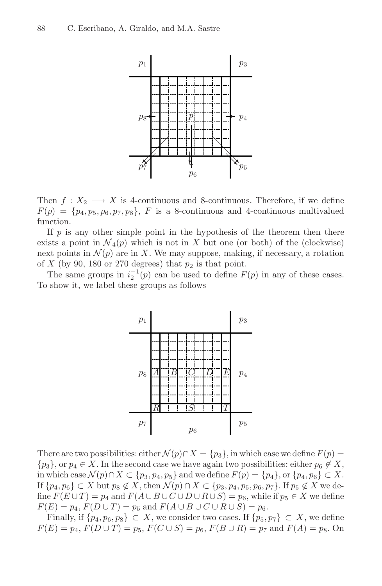

Then  $f: X_2 \longrightarrow X$  is 4-continuous and 8-continuous. Therefore, if we define  $F(p) = \{p_4, p_5, p_6, p_7, p_8\}, F$  is a 8-continuous and 4-continuous multivalued function.

If  $p$  is any other simple point in the hypothesis of the theorem then there exists a point in  $\mathcal{N}_4(p)$  which is not in X but one (or both) of the (clockwise) next points in  $\mathcal{N}(p)$  are in X. We may suppose, making, if necessary, a rotation of X (by 90, 180 or 270 degrees) that  $p_2$  is that point.

The same groups in  $i_2^{-1}(p)$  can be used to define  $F(p)$  in any of these cases. To show it, we label these groups as follows



There are two possibilities: either  $\mathcal{N}(p) \cap X = \{p_3\}$ , in which case we define  $F(p)$  $\{p_3\}$ , or  $p_4 \in X$ . In the second case we have again two possibilities: either  $p_6 \notin X$ , in which case  $\mathcal{N}(p) \cap X \subset \{p_3, p_4, p_5\}$  and we define  $F(p) = \{p_4\}$ , or  $\{p_4, p_6\} \subset X$ . If  $\{p_4, p_6\} \subset X$  but  $p_8 \notin X$ , then  $\mathcal{N}(p) \cap X \subset \{p_3, p_4, p_5, p_6, p_7\}$ . If  $p_5 \notin X$  we define  $F(E \cup T) = p_4$  and  $F(A \cup B \cup C \cup D \cup R \cup S) = p_6$ , while if  $p_5 \in X$  we define  $F(E) = p_4, F(D \cup T) = p_5 \text{ and } F(A \cup B \cup C \cup R \cup S) = p_6.$ 

Finally, if  $\{p_4, p_6, p_8\} \subset X$ , we consider two cases. If  $\{p_5, p_7\} \subset X$ , we define  $F(E) = p_4$ ,  $F(D \cup T) = p_5$ ,  $F(C \cup S) = p_6$ ,  $F(B \cup R) = p_7$  and  $F(A) = p_8$ . On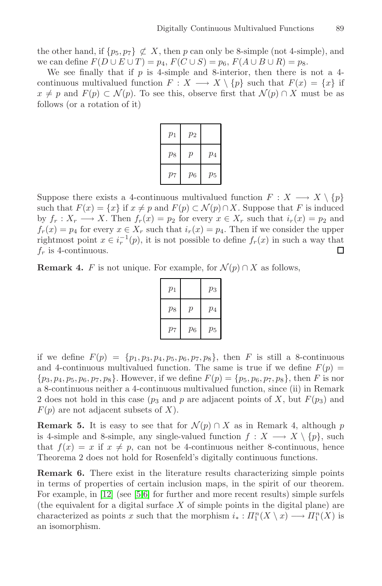the other hand, if  $\{p_5, p_7\} \not\subset X$ , then p can only be 8-simple (not 4-simple), and we can define  $F(D \cup E \cup T) = p_4$ ,  $F(C \cup S) = p_6$ ,  $F(A \cup B \cup R) = p_8$ .

We see finally that if  $p$  is 4-simple and 8-interior, then there is not a 4continuous multivalued function  $F: X \longrightarrow X \setminus \{p\}$  such that  $F(x) = \{x\}$  if  $x \neq p$  and  $F(p) \subset \mathcal{N}(p)$ . To see this, observe first that  $\mathcal{N}(p) \cap X$  must be as follows (or a rotation of it)

| $p_1$          | p <sub>2</sub> |       |
|----------------|----------------|-------|
| $p_8$          | $\mathcal{p}$  | $p_4$ |
| p <sub>7</sub> | $p_6$          | $p_5$ |

Suppose there exists a 4-continuous multivalued function  $F: X \longrightarrow X \setminus \{p\}$ such that  $F(x) = \{x\}$  if  $x \neq p$  and  $F(p) \subset \mathcal{N}(p) \cap X$ . Suppose that F is induced by  $f_r: X_r \longrightarrow X$ . Then  $f_r(x) = p_2$  for every  $x \in X_r$  such that  $i_r(x) = p_2$  and  $f_r(x) = p_4$  for every  $x \in X_r$  such that  $i_r(x) = p_4$ . Then if we consider the upper rightmost point  $x \in i_r^{-1}(p)$ , it is not possible to define  $f_r(x)$  in such a way that  $f_r$  is 4-continuous. П

**Remark 4.** F is not unique. For example, for  $\mathcal{N}(p) \cap X$  as follows,

| $p_1$          |               | $p_3$ |
|----------------|---------------|-------|
| $p_8$          | $\mathcal{p}$ | $p_4$ |
| p <sub>7</sub> | $p_6$         | $p_5$ |

if we define  $F(p) = \{p_1, p_3, p_4, p_5, p_6, p_7, p_8\}$ , then F is still a 8-continuous and 4-continuous multivalued function. The same is true if we define  $F(p)$  =  $\{p_3, p_4, p_5, p_6, p_7, p_8\}.$  However, if we define  $F(p) = \{p_5, p_6, p_7, p_8\},\$  then F is nor a 8-continuous neither a 4-continuous multivalued function, since (ii) in Remark 2 does not hold in this case  $(p_3 \text{ and } p \text{ are adjacent points of } X, \text{ but } F(p_3) \text{ and }$  $F(p)$  $F(p)$  [are](#page-11-11) [n](#page-11-12)ot adjacent subsets of X).

**Remark 5.** It is easy to see that for  $\mathcal{N}(p) \cap X$  as in Remark 4, although p is 4-simple and 8-simple, any single-valued function  $f: X \longrightarrow X \setminus \{p\}$ , such that  $f(x) = x$  if  $x \neq p$ , can not be 4-continuous neither 8-continuous, hence Theorema 2 does not hold for Rosenfeld's digitally continuous functions.

**Remark 6.** There exist in the literature results characterizing simple points in terms of properties of certain inclusion maps, in the spirit of our theorem. For example, in [12] (see [5,6] for further and more recent results) simple surfels (the equivalent for a digital surface  $X$  of simple points in the digital plane) are characterized as points x such that the morphism  $i_* : \Pi_1^n(X \setminus x) \longrightarrow \Pi_1^n(X)$  is an isomorphism.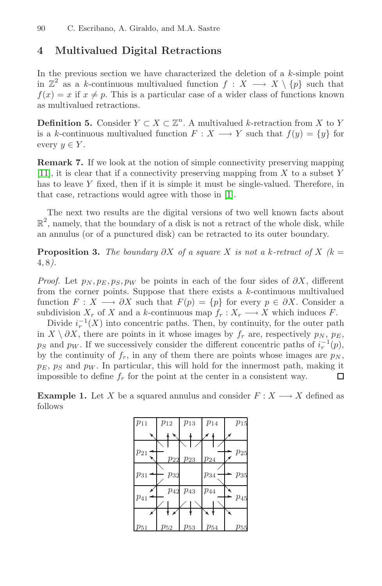90 C. Escribano, A. Giraldo, and M.A. Sastre

### **4 Multivalued Digital Retractions**

In the previous section we have characterized the deletion of a  $k$ -simple point in  $\mathbb{Z}^2$  as a k-continuous multivalued function  $f : X \longrightarrow X \setminus \{p\}$  such that  $f(x) = x$  if  $x \neq p$ . This is a particular case of a wider class of functions known as multivalued retractions.

**Definition 5.** Consider  $Y \subset X \subset \mathbb{Z}^n$ . A multivalued k-retraction from X to Y is a k-continuous multivalued function  $F : X \longrightarrow Y$  such that  $f(y) = \{y\}$  for every  $y \in Y$ .

**Remark 7.** If we look at the notion of simple connectivity preserving mapping [11], it is clear that if a connectivity preserving mapping from  $X$  to a subset Y has to leave Y fixed, then if it is simple it must be single-valued. Therefore, in that case, retractions would agree with those in [1].

The next two results are the digital versions of two well known facts about  $\mathbb{R}^2$ , namely, that the boundary of a disk is not a retract of the whole disk, while an annulus (or of a punctured disk) can be retracted to its outer boundary.

**Proposition 3.** The boundary  $\partial X$  of a square X is not a k-retract of X (k = 4, 8).

*Proof.* Let  $p_N, p_E, p_S, p_W$  be points in each of the four sides of  $\partial X$ , different from the corner points. Suppose that there exists a  $k$ -continuous multivalued function  $F: X \longrightarrow \partial X$  such that  $F(p) = \{p\}$  for every  $p \in \partial X$ . Consider a subdivision  $X_r$  of X and a k-continuous map  $f_r : X_r \longrightarrow X$  which induces F.

Divide  $i_r^{-1}(X)$  into concentric paths. Then, by continuity, for the outer path in  $X \setminus \partial X$ , there are points in it whose images by  $f_r$  are, respectively  $p_N$ ,  $p_E$ ,  $p_S$  and  $p_W$ . If we successively consider the different concentric paths of  $i_r^{-1}(p)$ , by the continuity of  $f_r$ , in any of them there are points whose images are  $p_N$ ,  $p_E$ ,  $p_S$  and  $p_W$ . In particular, this will hold for the innermost path, making it impossible to define  $f_r$  for the point at the center in a consistent way.  $\Box$ 

**Example 1.** Let X be a squared annulus and consider  $F: X \longrightarrow X$  defined as follows

| $p_{11}$ | $p_{12}$ | $p_{13}$        | $p_{14}$             | $p_{15}$ |
|----------|----------|-----------------|----------------------|----------|
|          |          |                 |                      |          |
| $p_{21}$ |          | $p_{22} p_{23}$ | $p_{24}$             | $p_{25}$ |
| $p_{31}$ | $p_{32}$ |                 | $p_{34}$             | $p_{35}$ |
| $p_{41}$ |          | $p_{42} p_{43}$ | $p_{44}$             | $p_{45}$ |
|          |          |                 |                      |          |
| $p_{51}$ | $p_{52}$ | $p_{53}$        | $p_{\underline{54}}$ | $p_{55}$ |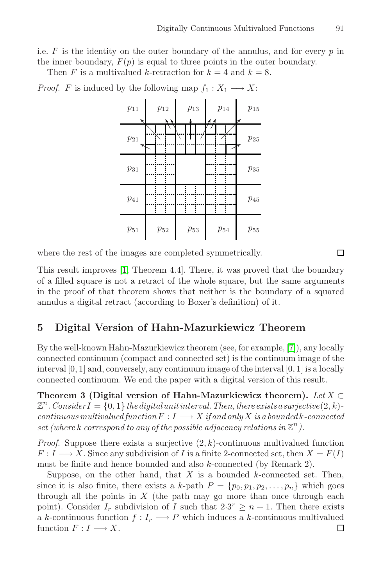i.e.  $F$  is the identity on the outer boundary of the annulus, and for every  $p$  in the inner boundary,  $F(p)$  is equal to three points in the outer boundary.

Then F is a multivalued k-retraction for  $k = 4$  and  $k = 8$ .

*Proof.* F is induced by the following map  $f_1 : X_1 \longrightarrow X$ :



where the rest of the images are completed symmetrically.

 $\Box$ 

This result improves [1, Theorem 4.4]. There, [it](#page-11-13) was proved that the boundary of a filled square is not a retract of the whole square, but the same arguments in the proof of that theorem shows that neither is the boundary of a squared annulus a digital retract (according to Boxer's definition) of it.

### **5 Digital Version of Hahn-Mazurkiewicz Theorem**

By the well-known Hahn-Mazurkiewicz theorem (see, for example, [7]), any locally connected continuum (compact and connected set) is the continuum image of the interval [0, 1] and, conversely, any continuum image of the interval [0, 1] is a locally connected continuum. We end the paper with a digital version of this result.

**Theorem 3 (Digital version of Hahn-Mazurkiewicz theorem).** Let X ⊂  $\mathbb{Z}^n$ . Consider  $I = \{0,1\}$  the digital unit interval. Then, there exists a surjective  $(2, k)$ continuous multivalued function  $F : I \longrightarrow X$  if and only X is a bounded k-connected set (where k correspond to any of the possible adjacency relations in  $\mathbb{Z}^n$ ).

*Proof.* Suppose there exists a surjective  $(2, k)$ -continuous multivalued function  $F: I \longrightarrow X$ . Since any subdivision of I is a finite 2-connected set, then  $X = F(I)$ must be finite and hence bounded and also k-connected (by Remark 2).

Suppose, on the other hand, that  $X$  is a bounded  $k$ -connected set. Then, since it is also finite, there exists a k-path  $P = \{p_0, p_1, p_2, \ldots, p_n\}$  which goes through all the points in  $X$  (the path may go more than once through each point). Consider  $I_r$  subdivision of I such that  $2\cdot3^r \geq n+1$ . Then there exists a k-continuous function  $f: I_r \longrightarrow P$  which induces a k-continuous multivalued function  $F: I \longrightarrow X$ .  $\Box$